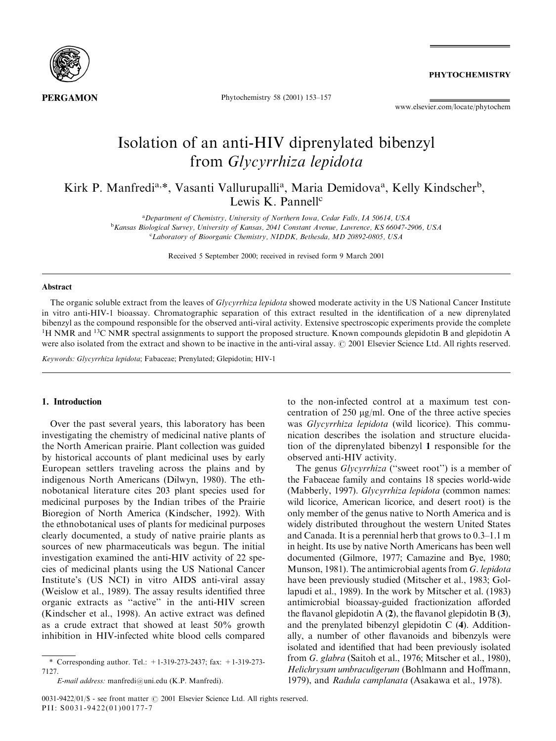

Phytochemistry 58 (2001) 153–157

**PHYTOCHEMISTRY** 

www.elsevier.com/locate/phytochem

# Isolation of an anti-HIV diprenylated bibenzyl from Glycyrrhiza lepidota

Kirk P. Manfredi<sup>a,\*</sup>, Vasanti Vallurupalli<sup>a</sup>, Maria Demidova<sup>a</sup>, Kelly Kindscher<sup>b</sup>, Lewis K. Pannell $c$ 

> <sup>a</sup>Department of Chemistry, University of Northern Iowa, Cedar Falls, IA 50614, USA <sup>b</sup>Kansas Biological Survey, University of Kansas, 2041 Constant Avenue, Lawrence, KS 66047-2906, USA CLaboratory of Bioorganic Chemistry, NIDDK, Bethesda, MD 20892-0805, USA

> > Received 5 September 2000; received in revised form 9 March 2001

#### Abstract

The organic soluble extract from the leaves of Glycyrrhiza lepidota showed moderate activity in the US National Cancer Institute in vitro anti-HIV-1 bioassay. Chromatographic separation of this extract resulted in the identification of a new diprenylated bibenzyl as the compound responsible for the observed anti-viral activity. Extensive spectroscopic experiments provide the complete <sup>1</sup>H NMR and <sup>13</sup>C NMR spectral assignments to support the proposed structure. Known compounds glepidotin B and glepidotin A were also isolated from the extract and shown to be inactive in the anti-viral assay. © 2001 Elsevier Science Ltd. All rights reserved.

Keywords: Glycyrrhiza lepidota; Fabaceae; Prenylated; Glepidotin; HIV-1

## 1. Introduction

Over the past several years, this laboratory has been investigating the chemistry of medicinal native plants of the North American prairie. Plant collection was guided by historical accounts of plant medicinal uses by early European settlers traveling across the plains and by indigenous North Americans (Dilwyn, 1980). The ethnobotanical literature cites 203 plant species used for medicinal purposes by the Indian tribes of the Prairie Bioregion of North America (Kindscher, 1992). With the ethnobotanical uses of plants for medicinal purposes clearly documented, a study of native prairie plants as sources of new pharmaceuticals was begun. The initial investigation examined the anti-HIV activity of 22 species of medicinal plants using the US National Cancer Institute's (US NCI) in vitro AIDS anti-viral assay (Weislow et al., 1989). The assay results identified three organic extracts as ''active'' in the anti-HIV screen (Kindscher et al., 1998). An active extract was defined as a crude extract that showed at least 50% growth inhibition in HIV-infected white blood cells compared

to the non-infected control at a maximum test concentration of  $250 \text{ µg/ml}$ . One of the three active species was Glycyrrhiza lepidota (wild licorice). This communication describes the isolation and structure elucidation of the diprenylated bibenzyl 1 responsible for the observed anti-HIV activity.

The genus *Glycyrrhiza* ("sweet root") is a member of the Fabaceae family and contains 18 species world-wide (Mabberly, 1997). Glycyrrhiza lepidota (common names: wild licorice, American licorice, and desert root) is the only member of the genus native to North America and is widely distributed throughout the western United States and Canada. It is a perennial herb that grows to 0.3–1.1 m in height. Its use by native North Americans has been well documented (Gilmore, 1977; Camazine and Bye, 1980; Munson, 1981). The antimicrobial agents from G. lepidota have been previously studied (Mitscher et al., 1983; Gollapudi et al., 1989). In the work by Mitscher et al. (1983) antimicrobial bioassay-guided fractionization afforded the flavanol glepidotin A (2), the flavanol glepidotin B (3), and the prenylated bibenzyl glepidotin C (4). Additionally, a number of other flavanoids and bibenzyls were isolated and identified that had been previously isolated from G. glabra (Saitoh et al., 1976; Mitscher et al., 1980), Helichrysum umbraculigerum (Bohlmann and Hoffmann, 1979), and Radula camplanata (Asakawa et al., 1978).

<sup>\*</sup> Corresponding author. Tel.: +1-319-273-2437; fax: +1-319-273- 7127.

E-mail address: manfredi@uni.edu (K.P. Manfredi).

<sup>0031-9422/01/\$ -</sup> see front matter  $\odot$  2001 Elsevier Science Ltd. All rights reserved. PII: S0031-9422(01)00177-7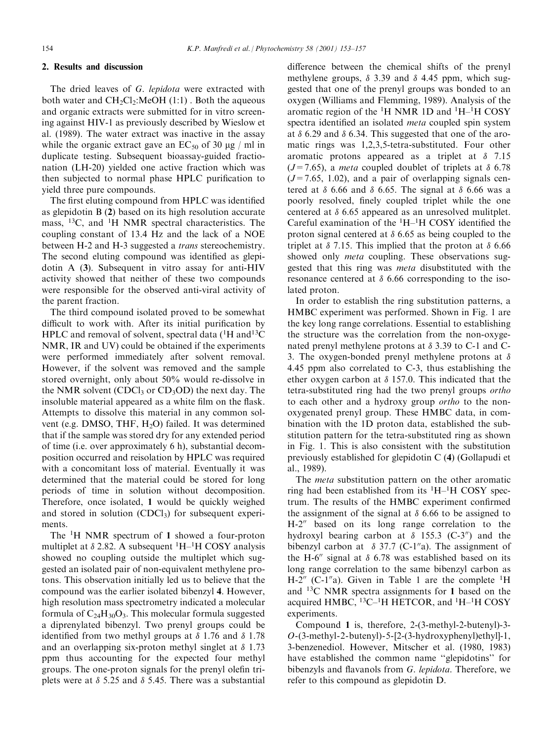# 2. Results and discussion

The dried leaves of G. lepidota were extracted with both water and  $CH_2Cl_2$ :MeOH (1:1). Both the aqueous and organic extracts were submitted for in vitro screening against HIV-1 as previously described by Wieslow et al. (1989). The water extract was inactive in the assay while the organic extract gave an  $EC_{50}$  of 30  $\mu$ g / ml in duplicate testing. Subsequent bioassay-guided fractionation (LH-20) yielded one active fraction which was then subjected to normal phase HPLC purification to yield three pure compounds.

The first eluting compound from HPLC was identified as glepidotin B (2) based on its high resolution accurate mass, <sup>13</sup>C, and <sup>1</sup>H NMR spectral characteristics. The coupling constant of 13.4 Hz and the lack of a NOE between H-2 and H-3 suggested a trans stereochemistry. The second eluting compound was identified as glepidotin A (3). Subsequent in vitro assay for anti-HIV activity showed that neither of these two compounds were responsible for the observed anti-viral activity of the parent fraction.

The third compound isolated proved to be somewhat difficult to work with. After its initial purification by HPLC and removal of solvent, spectral data (<sup>1</sup>H and<sup>13</sup>C NMR, IR and UV) could be obtained if the experiments were performed immediately after solvent removal. However, if the solvent was removed and the sample stored overnight, only about 50% would re-dissolve in the NMR solvent (CDCl<sub>3</sub> or CD<sub>3</sub>OD) the next day. The insoluble material appeared as a white film on the flask. Attempts to dissolve this material in any common solvent (e.g. DMSO, THF, H<sub>2</sub>O) failed. It was determined that if the sample was stored dry for any extended period of time (i.e. over approximately 6 h), substantial decomposition occurred and reisolation by HPLC was required with a concomitant loss of material. Eventually it was determined that the material could be stored for long periods of time in solution without decomposition. Therefore, once isolated, 1 would be quickly weighed and stored in solution  $(CDCl<sub>3</sub>)$  for subsequent experiments.

The <sup>1</sup>H NMR spectrum of 1 showed a four-proton multiplet at  $\delta$  2.82. A subsequent  ${}^{1}H-{}^{1}H$  COSY analysis showed no coupling outside the multiplet which suggested an isolated pair of non-equivalent methylene protons. This observation initially led us to believe that the compound was the earlier isolated bibenzyl 4. However, high resolution mass spectrometry indicated a molecular formula of  $C_{24}H_{30}O_3$ . This molecular formula suggested a diprenylated bibenzyl. Two prenyl groups could be identified from two methyl groups at  $\delta$  1.76 and  $\delta$  1.78 and an overlapping six-proton methyl singlet at  $\delta$  1.73 ppm thus accounting for the expected four methyl groups. The one-proton signals for the prenyl olefin triplets were at  $\delta$  5.25 and  $\delta$  5.45. There was a substantial difference between the chemical shifts of the prenyl methylene groups,  $\delta$  3.39 and  $\delta$  4.45 ppm, which suggested that one of the prenyl groups was bonded to an oxygen (Williams and Flemming, 1989). Analysis of the aromatic region of the  ${}^{1}H$  NMR 1D and  ${}^{1}H-{}^{1}H$  COSY spectra identified an isolated meta coupled spin system at  $\delta$  6.29 and  $\delta$  6.34. This suggested that one of the aromatic rings was 1,2,3,5-tetra-substituted. Four other aromatic protons appeared as a triplet at  $\delta$  7.15  $(J=7.65)$ , a *meta* coupled doublet of triplets at  $\delta$  6.78  $(J=7.65, 1.02)$ , and a pair of overlapping signals centered at  $\delta$  6.66 and  $\delta$  6.65. The signal at  $\delta$  6.66 was a poorly resolved, finely coupled triplet while the one centered at  $\delta$  6.65 appeared as an unresolved mulitplet. Careful examination of the  ${}^{1}H-{}^{1}H$  COSY identified the proton signal centered at  $\delta$  6.65 as being coupled to the triplet at  $\delta$  7.15. This implied that the proton at  $\delta$  6.66 showed only *meta* coupling. These observations suggested that this ring was *meta* disubstituted with the resonance centered at  $\delta$  6.66 corresponding to the isolated proton.

In order to establish the ring substitution patterns, a HMBC experiment was performed. Shown in Fig. 1 are the key long range correlations. Essential to establishing the structure was the correlation from the non-oxygenated prenyl methylene protons at  $\delta$  3.39 to C-1 and C-3. The oxygen-bonded prenyl methylene protons at  $\delta$ 4.45 ppm also correlated to C-3, thus establishing the ether oxygen carbon at  $\delta$  157.0. This indicated that the tetra-substituted ring had the two prenyl groups ortho to each other and a hydroxy group ortho to the nonoxygenated prenyl group. These HMBC data, in combination with the 1D proton data, established the substitution pattern for the tetra-substituted ring as shown in Fig. 1. This is also consistent with the substitution previously established for glepidotin C (4) (Gollapudi et al., 1989).

The *meta* substitution pattern on the other aromatic ring had been established from its  $^1H-^1H$  COSY spectrum. The results of the HMBC experiment confirmed the assignment of the signal at  $\delta$  6.66 to be assigned to  $H-2''$  based on its long range correlation to the hydroxyl bearing carbon at  $\delta$  155.3 (C-3<sup>n</sup>) and the bibenzyl carbon at  $\delta$  37.7 (C-1"a). The assignment of the H-6<sup> $\prime\prime$ </sup> signal at  $\delta$  6.78 was established based on its long range correlation to the same bibenzyl carbon as H-2" (C-1"a). Given in Table 1 are the complete  ${}^{1}H$ and 13C NMR spectra assignments for 1 based on the acquired HMBC,  $^{13}$ C $-$ <sup>1</sup>H HETCOR, and  $^{1}$ H $-$ <sup>1</sup>H COSY experiments.

Compound 1 is, therefore, 2-(3-methyl-2-butenyl)-3-  $O-(3-methyl-2-butenyl)-5-[2-(3-hydroxyphenyl)ethyl]-1,$ 3-benzenediol. However, Mitscher et al. (1980, 1983) have established the common name ''glepidotins'' for bibenzyls and flavanols from G. lepidota. Therefore, we refer to this compound as glepidotin D.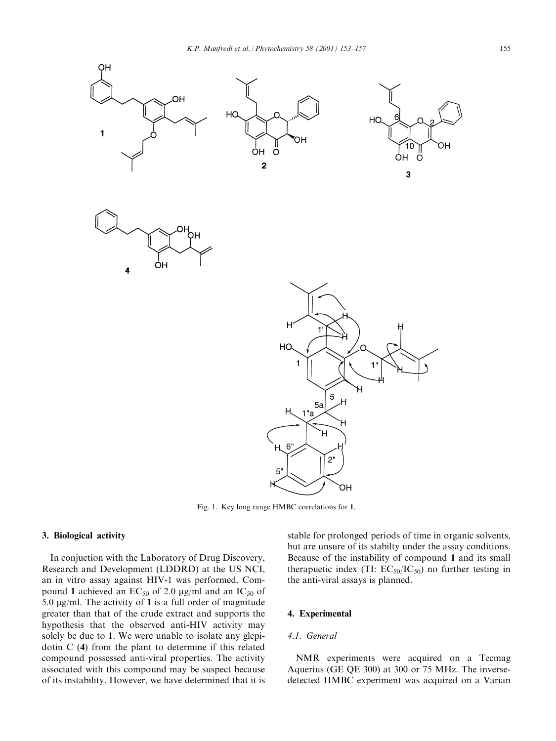

Fig. 1. Key long range HMBC correlations for 1.

# 3. Biological activity

In conjuction with the Laboratory of Drug Discovery, Research and Development (LDDRD) at the US NCI, an in vitro assay against HIV-1 was performed. Compound 1 achieved an  $EC_{50}$  of 2.0 µg/ml and an  $IC_{50}$  of 5.0  $\mu$ g/ml. The activity of 1 is a full order of magnitude greater than that of the crude extract and supports the hypothesis that the observed anti-HIV activity may solely be due to 1. We were unable to isolate any glepidotin C (4) from the plant to determine if this related compound possessed anti-viral properties. The activity associated with this compound may be suspect because of its instability. However, we have determined that it is stable for prolonged periods of time in organic solvents, but are unsure of its stabilty under the assay conditions. Because of the instability of compound 1 and its small therapuetic index (TI:  $EC_{50}/IC_{50}$ ) no further testing in the anti-viral assays is planned.

# 4. Experimental

# 4.1. General

NMR experiments were acquired on a Tecmag Aquerius (GE QE 300) at 300 or 75 MHz. The inversedetected HMBC experiment was acquired on a Varian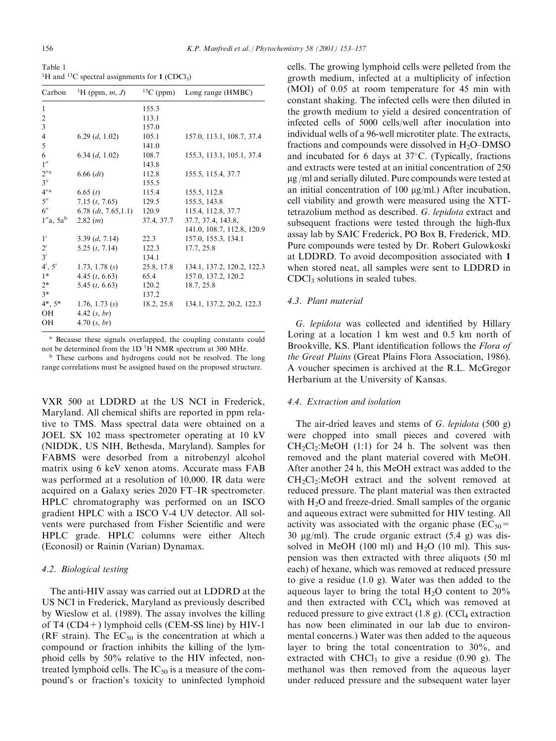Table 1 <sup>1</sup>H and <sup>13</sup>C spectral assignments for  $1$  (CDCl<sub>3</sub>)

| Carbon                   | <sup>1</sup> H (ppm, m, J) | ${}^{13}C$ (ppm) | Long range (HMBC)          |
|--------------------------|----------------------------|------------------|----------------------------|
| $\mathbf{1}$             |                            | 155.3            |                            |
| $\overline{c}$           |                            | 113.1            |                            |
| 3                        |                            | 157.0            |                            |
| $\overline{\mathcal{L}}$ | 6.29 $(d, 1.02)$           | 105.1            | 157.0, 113.1, 108.7, 37.4  |
| 5                        |                            | 141.0            |                            |
| 6                        | 6.34 $(d, 1.02)$           | 108.7            | 155.3, 113.1, 105.1, 37.4  |
| 1''                      |                            | 143.8            |                            |
| $2^{\prime\prime}$ a     | $6.66$ (dt)                | 112.8            | 155.5, 115.4, 37.7         |
| $3^{\prime\prime}$       |                            | 155.5            |                            |
| $4''$ a                  | 6.65(t)                    | 115.4            | 155.5, 112.8               |
| $5^{\prime\prime}$       | 7.15(t, 7.65)              | 129.5            | 155.5, 143.8               |
| $6^{\prime\prime}$       | $6.78$ (dt, 7.65,1.1)      | 120.9            | 115.4, 112.8, 37.7         |
| $1''a$ , 5a <sup>b</sup> | 2.82(m)                    | 37.4, 37.7       | 37.7, 37.4, 143.8,         |
|                          |                            |                  | 141.0, 108.7, 112.8, 120.9 |
| 1'                       | 3.39(d, 7.14)              | 22.3             | 157.0, 155.3, 134.1        |
| $2^{\prime}$             | 5.25(t, 7.14)              | 122.3            | 17.7, 25.8                 |
| 3'                       |                            | 134.1            |                            |
| 4', 5'                   | 1.73, 1.78 $(s)$           | 25.8, 17.8       | 134.1, 137.2, 120.2, 122.3 |
| $1*$                     | 4.45 $(t, 6.63)$           | 65.4             | 157.0, 137.2, 120.2        |
| $2*$                     | 5.45 $(t, 6.63)$           | 120.2            | 18.7, 25.8                 |
| $3*$                     |                            | 137.2            |                            |
| $4^*, 5^*$               | 1.76, 1.73 $(s)$           | 18.2, 25.8       | 134.1, 137.2, 20.2, 122.3  |
| <b>OH</b>                | 4.42 $(s, br)$             |                  |                            |
| OH                       | 4.70 (s, br)               |                  |                            |
|                          |                            |                  |                            |

<sup>a</sup> Because these signals overlapped, the coupling constants could not be determined from the 1D<sup>1</sup>H NMR spectrum at 300 MHz.

<sup>b</sup> These carbons and hydrogens could not be resolved. The long range correlations must be assigned based on the proposed structure.

VXR 500 at LDDRD at the US NCI in Frederick, Maryland. All chemical shifts are reported in ppm relative to TMS. Mass spectral data were obtained on a JOEL SX 102 mass spectrometer operating at 10 kV (NIDDK, US NIH, Bethesda, Maryland). Samples for FABMS were desorbed from a nitrobenzyl alcohol matrix using 6 keV xenon atoms. Accurate mass FAB was performed at a resolution of 10,000. IR data were acquired on a Galaxy series 2020 FT–IR spectrometer. HPLC chromatography was performed on an ISCO gradient HPLC with a ISCO V-4 UV detector. All solvents were purchased from Fisher Scientific and were HPLC grade. HPLC columns were either Altech (Econosil) or Rainin (Varian) Dynamax.

#### 4.2. Biological testing

The anti-HIV assay was carried out at LDDRD at the US NCI in Frederick, Maryland as previously described by Wieslow et al. (1989). The assay involves the killing of T4 (CD4+) lymphoid cells (CEM-SS line) by HIV-1 (RF strain). The  $EC_{50}$  is the concentration at which a compound or fraction inhibits the killing of the lymphoid cells by 50% relative to the HIV infected, nontreated lymphoid cells. The  $IC_{50}$  is a measure of the compound's or fraction's toxicity to uninfected lymphoid

cells. The growing lymphoid cells were pelleted from the growth medium, infected at a multiplicity of infection (MOI) of 0.05 at room temperature for 45 min with constant shaking. The infected cells were then diluted in the growth medium to yield a desired concentration of infected cells of 5000 cells/well after inoculation into individual wells of a 96-well microtiter plate. The extracts, fractions and compounds were dissolved in  $H_2O$ –DMSO and incubated for 6 days at 37°C. (Typically, fractions and extracts were tested at an initial concentration of 250 mg /ml and serially diluted. Pure compounds were tested at an initial concentration of 100  $\mu$ g/ml.) After incubation, cell viability and growth were measured using the XTTtetrazolium method as described. G. lepidota extract and subsequent fractions were tested through the high-flux assay lab by SAIC Frederick, PO Box B, Frederick, MD. Pure compounds were tested by Dr. Robert Gulowkoski at LDDRD. To avoid decomposition associated with 1 when stored neat, all samples were sent to LDDRD in CDCl<sub>3</sub> solutions in sealed tubes.

#### 4.3. Plant material

G. lepidota was collected and identified by Hillary Loring at a location 1 km west and  $0.5$  km north of Brookville, KS. Plant identification follows the Flora of the Great Plains (Great Plains Flora Association, 1986). A voucher specimen is archived at the R.L. McGregor Herbarium at the University of Kansas.

## 4.4. Extraction and isolation

The air-dried leaves and stems of  $G$ . *lepidota* (500 g) were chopped into small pieces and covered with  $CH<sub>2</sub>Cl<sub>2</sub>:MeOH$  (1:1) for 24 h. The solvent was then removed and the plant material covered with MeOH. After another 24 h, this MeOH extract was added to the  $CH<sub>2</sub>Cl<sub>2</sub>:MeOH$  extract and the solvent removed at reduced pressure. The plant material was then extracted with  $H<sub>2</sub>O$  and freeze-dried. Small samples of the organic and aqueous extract were submitted for HIV testing. All activity was associated with the organic phase ( $EC_{50}$ = 30  $\mu$ g/ml). The crude organic extract (5.4 g) was dissolved in MeOH (100 ml) and  $H_2O$  (10 ml). This suspension was then extracted with three aliquots (50 ml each) of hexane, which was removed at reduced pressure to give a residue (1.0 g). Water was then added to the aqueous layer to bring the total  $H_2O$  content to 20% and then extracted with CCl<sub>4</sub> which was removed at reduced pressure to give extract  $(1.8 \text{ g})$ .  $(CCl_4$  extraction has now been eliminated in our lab due to environmental concerns.) Water was then added to the aqueous layer to bring the total concentration to 30%, and extracted with CHCl<sub>3</sub> to give a residue  $(0.90 \text{ g})$ . The methanol was then removed from the aqueous layer under reduced pressure and the subsequent water layer